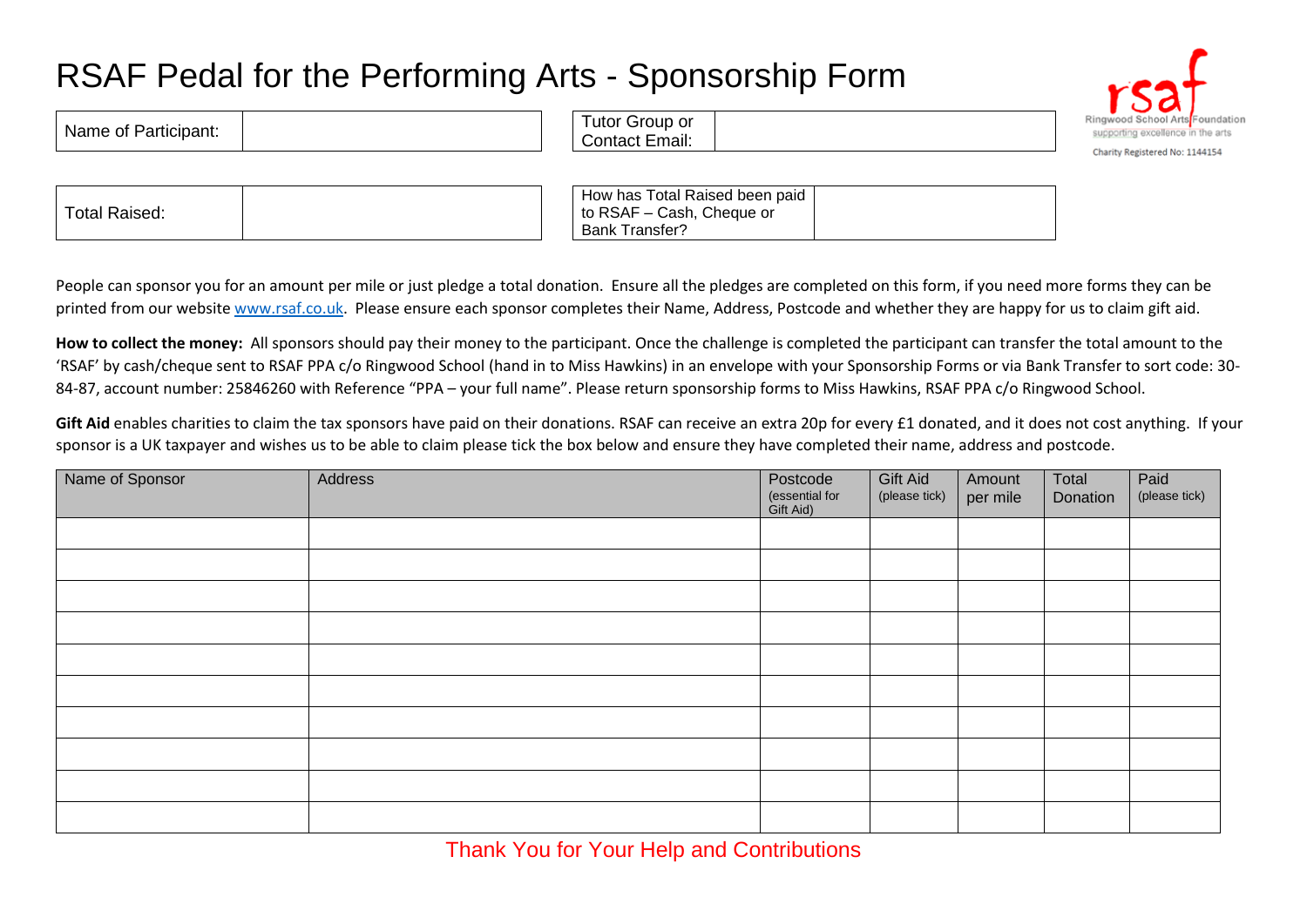## RSAF Pedal for the Performing Arts - Sponsorship Form

| Ringwood School Arts <sup>Found</sup> |
|---------------------------------------|
| supporting excellence in the a        |
| Charity Registered No: 1144154        |

|--|

Name of Participant:  $\begin{bmatrix} 1 & 1 \\ 1 & 1 \end{bmatrix}$  Tutor Group or

| How has Total Raised been paid |  |
|--------------------------------|--|
| to RSAF - Cash, Cheque or      |  |
| Bank Transfer?                 |  |

People can sponsor you for an amount per mile or just pledge a total donation. Ensure all the pledges are completed on this form, if you need more forms they can be printed from our website [www.rsaf.co.uk.](http://www.rsaf.co.uk/) Please ensure each sponsor completes their Name, Address, Postcode and whether they are happy for us to claim gift aid.

Contact Email:

**How to collect the money:** All sponsors should pay their money to the participant. Once the challenge is completed the participant can transfer the total amount to the 'RSAF' by cash/cheque sent to RSAF PPA c/o Ringwood School (hand in to Miss Hawkins) in an envelope with your Sponsorship Forms or via Bank Transfer to sort code: 30- 84-87, account number: 25846260 with Reference "PPA – your full name". Please return sponsorship forms to Miss Hawkins, RSAF PPA c/o Ringwood School.

Gift Aid enables charities to claim the tax sponsors have paid on their donations. RSAF can receive an extra 20p for every £1 donated, and it does not cost anything. If your sponsor is a UK taxpayer and wishes us to be able to claim please tick the box below and ensure they have completed their name, address and postcode.

| Name of Sponsor | Address | Postcode<br>(essential for<br>Gift Aid) | Gift Aid<br>(please tick) | Amount<br>per mile | Total<br>Donation | Paid<br>(please tick) |
|-----------------|---------|-----------------------------------------|---------------------------|--------------------|-------------------|-----------------------|
|                 |         |                                         |                           |                    |                   |                       |
|                 |         |                                         |                           |                    |                   |                       |
|                 |         |                                         |                           |                    |                   |                       |
|                 |         |                                         |                           |                    |                   |                       |
|                 |         |                                         |                           |                    |                   |                       |
|                 |         |                                         |                           |                    |                   |                       |
|                 |         |                                         |                           |                    |                   |                       |
|                 |         |                                         |                           |                    |                   |                       |
|                 |         |                                         |                           |                    |                   |                       |
|                 |         |                                         |                           |                    |                   |                       |